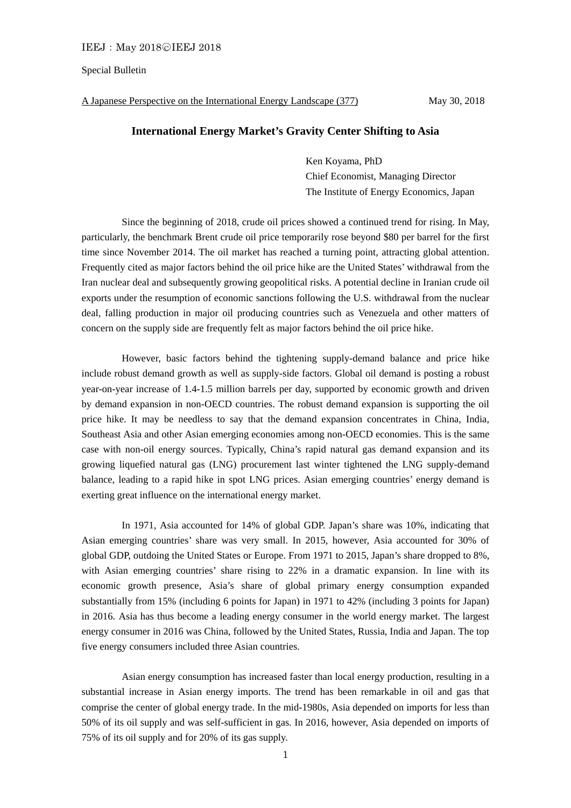## Special Bulletin

A Japanese Perspective on the International Energy Landscape (377) May 30, 2018

## **International Energy Market's Gravity Center Shifting to Asia**

Ken Koyama, PhD Chief Economist, Managing Director The Institute of Energy Economics, Japan

 Since the beginning of 2018, crude oil prices showed a continued trend for rising. In May, particularly, the benchmark Brent crude oil price temporarily rose beyond \$80 per barrel for the first time since November 2014. The oil market has reached a turning point, attracting global attention. Frequently cited as major factors behind the oil price hike are the United States' withdrawal from the Iran nuclear deal and subsequently growing geopolitical risks. A potential decline in Iranian crude oil exports under the resumption of economic sanctions following the U.S. withdrawal from the nuclear deal, falling production in major oil producing countries such as Venezuela and other matters of concern on the supply side are frequently felt as major factors behind the oil price hike.

 However, basic factors behind the tightening supply-demand balance and price hike include robust demand growth as well as supply-side factors. Global oil demand is posting a robust year-on-year increase of 1.4-1.5 million barrels per day, supported by economic growth and driven by demand expansion in non-OECD countries. The robust demand expansion is supporting the oil price hike. It may be needless to say that the demand expansion concentrates in China, India, Southeast Asia and other Asian emerging economies among non-OECD economies. This is the same case with non-oil energy sources. Typically, China's rapid natural gas demand expansion and its growing liquefied natural gas (LNG) procurement last winter tightened the LNG supply-demand balance, leading to a rapid hike in spot LNG prices. Asian emerging countries' energy demand is exerting great influence on the international energy market.

 In 1971, Asia accounted for 14% of global GDP. Japan's share was 10%, indicating that Asian emerging countries' share was very small. In 2015, however, Asia accounted for 30% of global GDP, outdoing the United States or Europe. From 1971 to 2015, Japan's share dropped to 8%, with Asian emerging countries' share rising to 22% in a dramatic expansion. In line with its economic growth presence, Asia's share of global primary energy consumption expanded substantially from 15% (including 6 points for Japan) in 1971 to 42% (including 3 points for Japan) in 2016. Asia has thus become a leading energy consumer in the world energy market. The largest energy consumer in 2016 was China, followed by the United States, Russia, India and Japan. The top five energy consumers included three Asian countries.

 Asian energy consumption has increased faster than local energy production, resulting in a substantial increase in Asian energy imports. The trend has been remarkable in oil and gas that comprise the center of global energy trade. In the mid-1980s, Asia depended on imports for less than 50% of its oil supply and was self-sufficient in gas. In 2016, however, Asia depended on imports of 75% of its oil supply and for 20% of its gas supply.